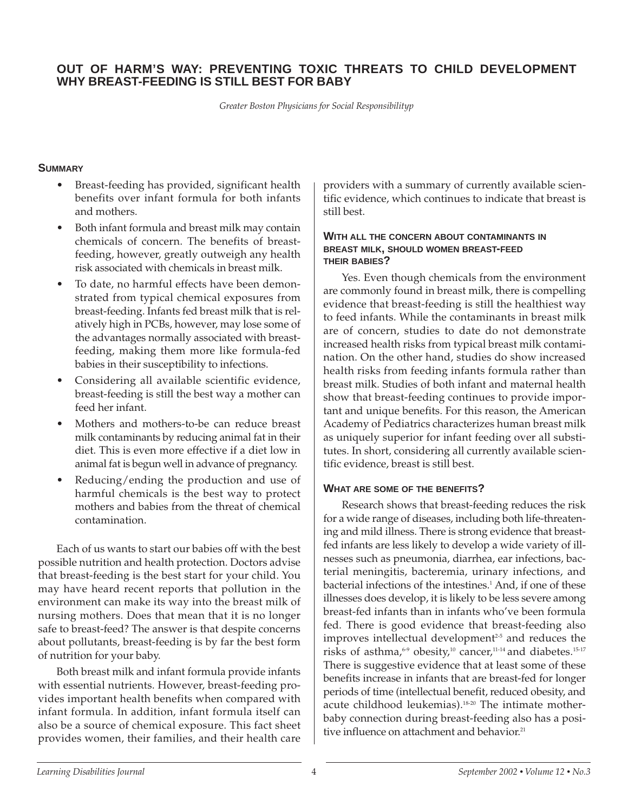## **OUT OF HARM'S WAY: PREVENTING TOXIC THREATS TO CHILD DEVELOPMENT WHY BREAST-FEEDING IS STILL BEST FOR BABY**

*Greater Boston Physicians for Social Responsibilityp*

## **SUMMARY**

- Breast-feeding has provided, significant health benefits over infant formula for both infants and mothers.
- Both infant formula and breast milk may contain chemicals of concern. The benefits of breastfeeding, however, greatly outweigh any health risk associated with chemicals in breast milk.
- To date, no harmful effects have been demonstrated from typical chemical exposures from breast-feeding. Infants fed breast milk that is relatively high in PCBs, however, may lose some of the advantages normally associated with breastfeeding, making them more like formula-fed babies in their susceptibility to infections.
- Considering all available scientific evidence, breast-feeding is still the best way a mother can feed her infant.
- Mothers and mothers-to-be can reduce breast milk contaminants by reducing animal fat in their diet. This is even more effective if a diet low in animal fat is begun well in advance of pregnancy.
- Reducing/ending the production and use of harmful chemicals is the best way to protect mothers and babies from the threat of chemical contamination.

Each of us wants to start our babies off with the best possible nutrition and health protection. Doctors advise that breast-feeding is the best start for your child. You may have heard recent reports that pollution in the environment can make its way into the breast milk of nursing mothers. Does that mean that it is no longer safe to breast-feed? The answer is that despite concerns about pollutants, breast-feeding is by far the best form of nutrition for your baby.

Both breast milk and infant formula provide infants with essential nutrients. However, breast-feeding provides important health benefits when compared with infant formula. In addition, infant formula itself can also be a source of chemical exposure. This fact sheet provides women, their families, and their health care

providers with a summary of currently available scientific evidence, which continues to indicate that breast is still best.

#### **WITH ALL THE CONCERN ABOUT CONTAMINANTS IN BREAST MILK, SHOULD WOMEN BREAST-FEED THEIR BABIES?**

Yes. Even though chemicals from the environment are commonly found in breast milk, there is compelling evidence that breast-feeding is still the healthiest way to feed infants. While the contaminants in breast milk are of concern, studies to date do not demonstrate increased health risks from typical breast milk contamination. On the other hand, studies do show increased health risks from feeding infants formula rather than breast milk. Studies of both infant and maternal health show that breast-feeding continues to provide important and unique benefits. For this reason, the American Academy of Pediatrics characterizes human breast milk as uniquely superior for infant feeding over all substitutes. In short, considering all currently available scientific evidence, breast is still best.

## **WHAT ARE SOME OF THE BENEFITS?**

Research shows that breast-feeding reduces the risk for a wide range of diseases, including both life-threatening and mild illness. There is strong evidence that breastfed infants are less likely to develop a wide variety of illnesses such as pneumonia, diarrhea, ear infections, bacterial meningitis, bacteremia, urinary infections, and bacterial infections of the intestines.<sup>1</sup> And, if one of these illnesses does develop, it is likely to be less severe among breast-fed infants than in infants who've been formula fed. There is good evidence that breast-feeding also improves intellectual development<sup>25</sup> and reduces the risks of asthma,<sup>6-9</sup> obesity,<sup>10</sup> cancer,<sup>11-14</sup> and diabetes.<sup>15-17</sup> There is suggestive evidence that at least some of these benefits increase in infants that are breast-fed for longer periods of time (intellectual benefit, reduced obesity, and acute childhood leukemias).<sup>18-20</sup> The intimate motherbaby connection during breast-feeding also has a positive influence on attachment and behavior.<sup>21</sup>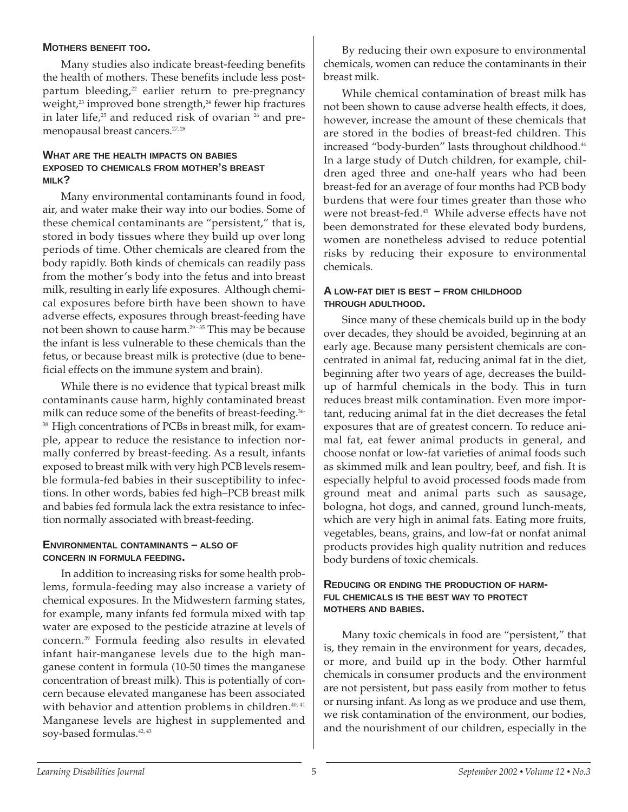## **MOTHERS BENEFIT TOO.**

Many studies also indicate breast-feeding benefits the health of mothers. These benefits include less postpartum bleeding,<sup>22</sup> earlier return to pre-pregnancy weight, $23$  improved bone strength, $24$  fewer hip fractures in later life, $25$  and reduced risk of ovarian  $26$  and premenopausal breast cancers.<sup>27, 28</sup>

#### **WHAT ARE THE HEALTH IMPACTS ON BABIES EXPOSED TO CHEMICALS FROM MOTHER'S BREAST MILK?**

Many environmental contaminants found in food, air, and water make their way into our bodies. Some of these chemical contaminants are "persistent," that is, stored in body tissues where they build up over long periods of time. Other chemicals are cleared from the body rapidly. Both kinds of chemicals can readily pass from the mother's body into the fetus and into breast milk, resulting in early life exposures. Although chemical exposures before birth have been shown to have adverse effects, exposures through breast-feeding have not been shown to cause harm.<sup>29-35</sup> This may be because the infant is less vulnerable to these chemicals than the fetus, or because breast milk is protective (due to beneficial effects on the immune system and brain).

While there is no evidence that typical breast milk contaminants cause harm, highly contaminated breast milk can reduce some of the benefits of breast-feeding.<sup>36-</sup> <sup>38</sup> High concentrations of PCBs in breast milk, for example, appear to reduce the resistance to infection normally conferred by breast-feeding. As a result, infants exposed to breast milk with very high PCB levels resemble formula-fed babies in their susceptibility to infections. In other words, babies fed high–PCB breast milk and babies fed formula lack the extra resistance to infection normally associated with breast-feeding.

#### **ENVIRONMENTAL CONTAMINANTS – ALSO OF CONCERN IN FORMULA FEEDING.**

In addition to increasing risks for some health problems, formula-feeding may also increase a variety of chemical exposures. In the Midwestern farming states, for example, many infants fed formula mixed with tap water are exposed to the pesticide atrazine at levels of concern.39 Formula feeding also results in elevated infant hair-manganese levels due to the high manganese content in formula (10-50 times the manganese concentration of breast milk). This is potentially of concern because elevated manganese has been associated with behavior and attention problems in children.<sup>40, 41</sup> Manganese levels are highest in supplemented and soy-based formulas.<sup>42, 43</sup>

By reducing their own exposure to environmental chemicals, women can reduce the contaminants in their breast milk.

While chemical contamination of breast milk has not been shown to cause adverse health effects, it does, however, increase the amount of these chemicals that are stored in the bodies of breast-fed children. This increased "body-burden" lasts throughout childhood.<sup>44</sup> In a large study of Dutch children, for example, children aged three and one-half years who had been breast-fed for an average of four months had PCB body burdens that were four times greater than those who were not breast-fed.<sup>45</sup> While adverse effects have not been demonstrated for these elevated body burdens, women are nonetheless advised to reduce potential risks by reducing their exposure to environmental chemicals.

#### **A LOW-FAT DIET IS BEST – FROM CHILDHOOD THROUGH ADULTHOOD.**

Since many of these chemicals build up in the body over decades, they should be avoided, beginning at an early age. Because many persistent chemicals are concentrated in animal fat, reducing animal fat in the diet, beginning after two years of age, decreases the buildup of harmful chemicals in the body. This in turn reduces breast milk contamination. Even more important, reducing animal fat in the diet decreases the fetal exposures that are of greatest concern. To reduce animal fat, eat fewer animal products in general, and choose nonfat or low-fat varieties of animal foods such as skimmed milk and lean poultry, beef, and fish. It is especially helpful to avoid processed foods made from ground meat and animal parts such as sausage, bologna, hot dogs, and canned, ground lunch-meats, which are very high in animal fats. Eating more fruits, vegetables, beans, grains, and low-fat or nonfat animal products provides high quality nutrition and reduces body burdens of toxic chemicals.

## **REDUCING OR ENDING THE PRODUCTION OF HARM-FUL CHEMICALS IS THE BEST WAY TO PROTECT MOTHERS AND BABIES.**

Many toxic chemicals in food are "persistent," that is, they remain in the environment for years, decades, or more, and build up in the body. Other harmful chemicals in consumer products and the environment are not persistent, but pass easily from mother to fetus or nursing infant. As long as we produce and use them, we risk contamination of the environment, our bodies, and the nourishment of our children, especially in the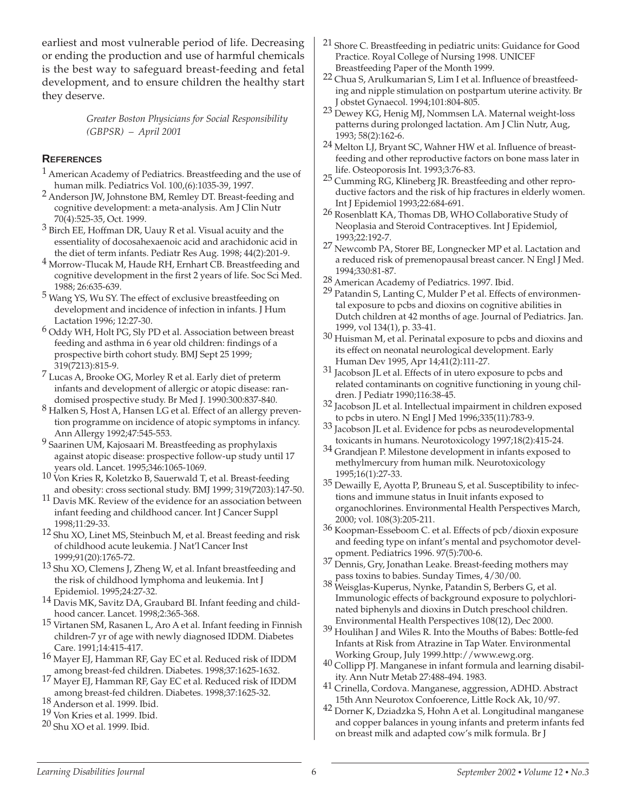earliest and most vulnerable period of life. Decreasing or ending the production and use of harmful chemicals is the best way to safeguard breast-feeding and fetal development, and to ensure children the healthy start they deserve.

> *Greater Boston Physicians for Social Responsibility (GBPSR) – April 2001*

## **REFERENCES**

- <sup>1</sup> American Academy of Pediatrics. Breastfeeding and the use of human milk. Pediatrics Vol.  $100(6)$ :1035-39, 1997.
- <sup>2</sup> Anderson JW, Johnstone BM, Remley DT. Breast-feeding and cognitive development: a meta-analysis. Am J Clin Nutr
- 70(4):525-35, Oct. 1999.<br> $3$  Birch EE, Hoffman DR, Uauy R et al. Visual acuity and the essentiality of docosahexaenoic acid and arachidonic acid in the diet of term infants. Pediatr Res Aug. 1998; 44(2):201-9.
- $4$  Morrow-Tlucak M, Haude RH, Ernhart CB. Breastfeeding and cognitive development in the first 2 years of life. Soc Sci Med. 1988; 26:635-639.
- 5 Wang YS, Wu SY. The effect of exclusive breastfeeding on development and incidence of infection in infants. J Hum Lactation 1996; 12:27-30.
- 6 Oddy WH, Holt PG, Sly PD et al. Association between breast feeding and asthma in 6 year old children: findings of a prospective birth cohort study. BMJ Sept 25 1999;
- 319(7213):815-9. 7 Lucas A, Brooke OG, Morley R et al. Early diet of preterm infants and development of allergic or atopic disease: ran-
- $8$  Halken S, Host A, Hansen LG et al. Effect of an allergy prevention programme on incidence of atopic symptoms in infancy.<br>Ann Allergy 1992;47:545-553.
- $9$  Saarinen UM, Kajosaari M. Breastfeeding as prophylaxis against atopic disease: prospective follow-up study until 17
- $\frac{10 \text{ V}}{200}$  Kries R, Koletzko B, Sauerwald T, et al. Breast-feeding<br>and obesity: cross sectional study. BMJ 1999; 319(7203):147-50.
- <sup>11</sup> Davis MK. Review of the evidence for an association between infant feeding and childhood cancer. Int J Cancer Suppl 1998;11:29-33.
- 12 Shu XO, Linet MS, Steinbuch M, et al. Breast feeding and risk of childhood acute leukemia. J Nat'l Cancer Inst
- 1999;91(20):1765-72. <sup>13</sup> Shu XO, Clemens J, Zheng W, et al. Infant breastfeeding and the risk of childhood lymphoma and leukemia. Int J
- Epidemiol. 1995;24:27-32. <sup>14</sup> Davis MK, Savitz DA, Graubard BI. Infant feeding and childhood cancer. Lancet. 1998;2:365-368.
- 15 Virtanen SM, Rasanen L, Aro A et al. Infant feeding in Finnish children-7 yr of age with newly diagnosed IDDM. Diabetes Care. 1991;14:415-417.
- <sup>16</sup> Mayer EJ, Hamman RF, Gay EC et al. Reduced risk of IDDM among breast-fed children. Diabetes. 1998;37:1625-1632.
- 17 Mayer EJ, Hamman RF, Gay EC et al. Reduced risk of IDDM among breast-fed children. Diabetes. 1998;37:1625-32. 18 Anderson et al. 1999. Ibid.

- 19 Von Kries et al. 1999. Ibid.
- 20 Shu XO et al. 1999. Ibid.
- 21 Shore C. Breastfeeding in pediatric units: Guidance for Good Practice. Royal College of Nursing 1998. UNICEF
- 22 Chua S, Arulkumarian S, Lim I et al. Influence of breastfeeding and nipple stimulation on postpartum uterine activity. Br
- <sup>23</sup> Dewey KG, Henig MJ, Nommsen LA. Maternal weight-loss patterns during prolonged lactation. Am J Clin Nutr, Aug,
- 1993; 58(2):162-6. <sup>24</sup> Melton LJ, Bryant SC, Wahner HW et al. Influence of breastfeeding and other reproductive factors on bone mass later in life. Osteoporosis Int. 1993;3:76-83.
- <sup>25</sup> Cumming RG, Klineberg JR. Breastfeeding and other reproductive factors and the risk of hip fractures in elderly women.<br>Int J Epidemiol 1993;22:684-691.
- <sup>26</sup> Rosenblatt KA, Thomas DB, WHO Collaborative Study of Neoplasia and Steroid Contraceptives. Int J Epidemiol, 1993;22:192-7.
- 27 Newcomb PA, Storer BE, Longnecker MP et al. Lactation and a reduced risk of premenopausal breast cancer. N Engl J Med.
- 1994;330:81-87.<br>28 American Academy of Pediatrics. 1997. Ibid.
- 29 Patandin S, Lanting C, Mulder P et al. Effects of environmental exposure to pcbs and dioxins on cognitive abilities in Dutch children at 42 months of age. Journal of Pediatrics. Jan.
- 1999, vol 134(1), p. 33-41.<br> $30$  Huisman M, et al. Perinatal exposure to pcbs and dioxins and its effect on neonatal neurological development. Early<br>Human Dev 1995, Apr 14;41(2):111-27.
- $31$  Jacobson JL et al. Effects of in utero exposure to pcbs and related contaminants on cognitive functioning in young children. J Pediatr 1990;116:38-45.
- 32 Jacobson JL et al. Intellectual impairment in children exposed
- $33$  Jacobson JL et al. Evidence for pcbs as neurodevelopmental<br>toxicants in humans. Neurotoxicology 1997;18(2):415-24.
- $34$  Grandjean P. Milestone development in infants exposed to methylmercury from human milk. Neurotoxicology
- 1995;16(1):27-33. <sup>35</sup> Dewailly E, Ayotta P, Bruneau S, et al. Susceptibility to infections and immune status in Inuit infants exposed to organochlorines. Environmental Health Perspectives March,
- $36$  Koopman-Esseboom C. et al. Effects of pcb/dioxin exposure and feeding type on infant's mental and psychomotor devel-
- $\frac{37}{2}$  Dennis, Gry, Jonathan Leake. Breast-feeding mothers may pass toxins to babies. Sunday Times,  $\frac{4}{30}$ /00.
- $38$  Weisglas-Kuperus, Nynke, Patandin S, Berbers G, et al. Immunologic effects of background exposure to polychlorinated biphenyls and dioxins in Dutch preschool children.
- $^{39}$ Houlihan J and Wiles R. Into the Mouths of Babes: Bottle-fed Infants at Risk from Atrazine in Tap Water. Environmental
- $^{40}$  Collipp PJ. Manganese in infant formula and learning disability. Ann Nutr Metab 27:488-494. 1983.
- 41 Crinella, Cordova. Manganese, aggression, ADHD. Abstract 15th Ann Neurotox Confoerence, Little Rock Ak, 10/97.
- 42 Dorner K, Dziadzka S, Hohn A et al. Longitudinal manganese and copper balances in young infants and preterm infants fed on breast milk and adapted cow's milk formula. Br J